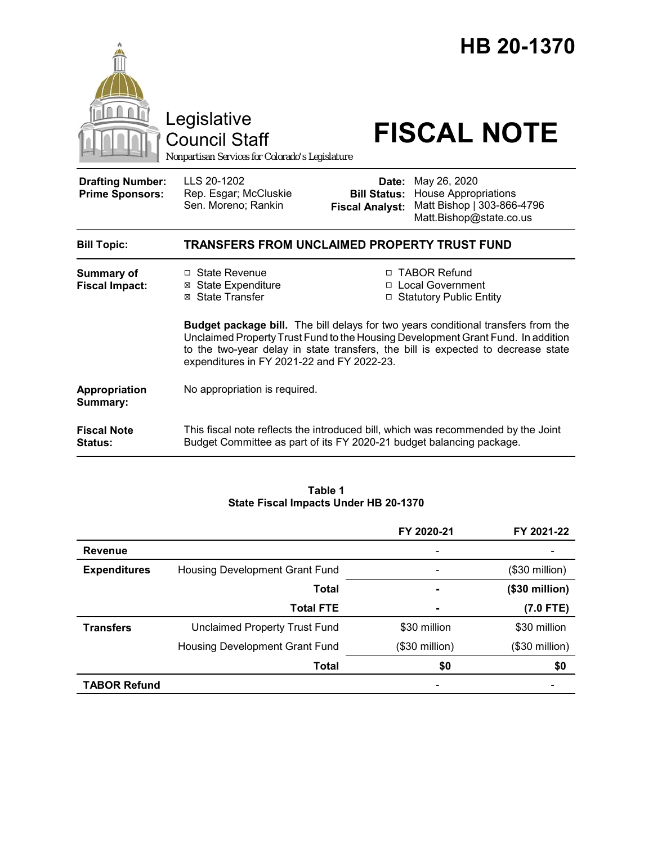|                                                   | Legislative<br><b>Council Staff</b><br>Nonpartisan Services for Colorado's Legislature                                                                                                                                                                                                                         |                                                        | HB 20-1370<br><b>FISCAL NOTE</b>                                                                     |  |
|---------------------------------------------------|----------------------------------------------------------------------------------------------------------------------------------------------------------------------------------------------------------------------------------------------------------------------------------------------------------------|--------------------------------------------------------|------------------------------------------------------------------------------------------------------|--|
| <b>Drafting Number:</b><br><b>Prime Sponsors:</b> | LLS 20-1202<br>Rep. Esgar; McCluskie<br>Sen. Moreno; Rankin                                                                                                                                                                                                                                                    | Date:<br><b>Bill Status:</b><br><b>Fiscal Analyst:</b> | May 26, 2020<br><b>House Appropriations</b><br>Matt Bishop   303-866-4796<br>Matt.Bishop@state.co.us |  |
| <b>Bill Topic:</b>                                | TRANSFERS FROM UNCLAIMED PROPERTY TRUST FUND                                                                                                                                                                                                                                                                   |                                                        |                                                                                                      |  |
| <b>Summary of</b><br><b>Fiscal Impact:</b>        | □ State Revenue<br><b>⊠</b> State Expenditure<br>⊠ State Transfer                                                                                                                                                                                                                                              |                                                        | □ TABOR Refund<br>□ Local Government<br>□ Statutory Public Entity                                    |  |
|                                                   | <b>Budget package bill.</b> The bill delays for two years conditional transfers from the<br>Unclaimed Property Trust Fund to the Housing Development Grant Fund. In addition<br>to the two-year delay in state transfers, the bill is expected to decrease state<br>expenditures in FY 2021-22 and FY 2022-23. |                                                        |                                                                                                      |  |
| Appropriation<br>Summary:                         | No appropriation is required.                                                                                                                                                                                                                                                                                  |                                                        |                                                                                                      |  |
| <b>Fiscal Note</b><br><b>Status:</b>              | This fiscal note reflects the introduced bill, which was recommended by the Joint<br>Budget Committee as part of its FY 2020-21 budget balancing package.                                                                                                                                                      |                                                        |                                                                                                      |  |

#### **Table 1 State Fiscal Impacts Under HB 20-1370**

|                     |                                      | FY 2020-21     | FY 2021-22      |
|---------------------|--------------------------------------|----------------|-----------------|
| <b>Revenue</b>      |                                      |                |                 |
| <b>Expenditures</b> | Housing Development Grant Fund       |                | $($30$ million) |
|                     | <b>Total</b>                         |                | $($30$ million) |
|                     | <b>Total FTE</b>                     |                | $(7.0$ FTE)     |
| <b>Transfers</b>    | <b>Unclaimed Property Trust Fund</b> | \$30 million   | \$30 million    |
|                     | Housing Development Grant Fund       | (\$30 million) | $($30$ million) |
|                     | <b>Total</b>                         | \$0            | \$0             |
| <b>TABOR Refund</b> |                                      |                |                 |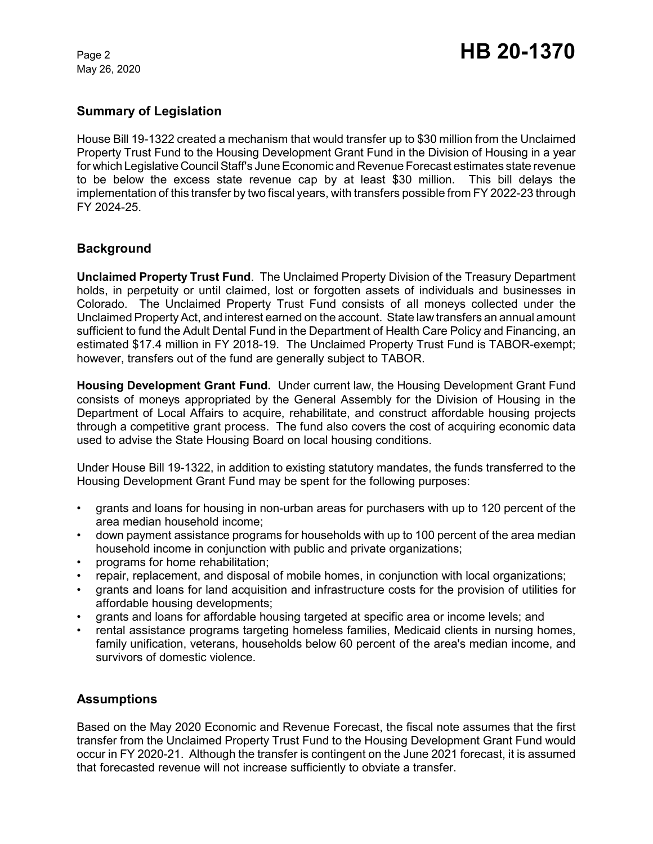May 26, 2020

### **Summary of Legislation**

House Bill 19-1322 created a mechanism that would transfer up to \$30 million from the Unclaimed Property Trust Fund to the Housing Development Grant Fund in the Division of Housing in a year for which Legislative Council Staff's June Economic and Revenue Forecast estimates state revenue to be below the excess state revenue cap by at least \$30 million. This bill delays the implementation of this transfer by two fiscal years, with transfers possible from FY 2022-23 through FY 2024-25.

# **Background**

**Unclaimed Property Trust Fund**. The Unclaimed Property Division of the Treasury Department holds, in perpetuity or until claimed, lost or forgotten assets of individuals and businesses in Colorado. The Unclaimed Property Trust Fund consists of all moneys collected under the Unclaimed Property Act, and interest earned on the account. State law transfers an annual amount sufficient to fund the Adult Dental Fund in the Department of Health Care Policy and Financing, an estimated \$17.4 million in FY 2018-19. The Unclaimed Property Trust Fund is TABOR-exempt; however, transfers out of the fund are generally subject to TABOR.

**Housing Development Grant Fund.** Under current law, the Housing Development Grant Fund consists of moneys appropriated by the General Assembly for the Division of Housing in the Department of Local Affairs to acquire, rehabilitate, and construct affordable housing projects through a competitive grant process. The fund also covers the cost of acquiring economic data used to advise the State Housing Board on local housing conditions.

Under House Bill 19-1322, in addition to existing statutory mandates, the funds transferred to the Housing Development Grant Fund may be spent for the following purposes:

- grants and loans for housing in non-urban areas for purchasers with up to 120 percent of the area median household income;
- down payment assistance programs for households with up to 100 percent of the area median household income in conjunction with public and private organizations;
- programs for home rehabilitation;
- repair, replacement, and disposal of mobile homes, in conjunction with local organizations;
- grants and loans for land acquisition and infrastructure costs for the provision of utilities for affordable housing developments;
- grants and loans for affordable housing targeted at specific area or income levels; and
- rental assistance programs targeting homeless families, Medicaid clients in nursing homes, family unification, veterans, households below 60 percent of the area's median income, and survivors of domestic violence.

# **Assumptions**

Based on the May 2020 Economic and Revenue Forecast, the fiscal note assumes that the first transfer from the Unclaimed Property Trust Fund to the Housing Development Grant Fund would occur in FY 2020-21. Although the transfer is contingent on the June 2021 forecast, it is assumed that forecasted revenue will not increase sufficiently to obviate a transfer.